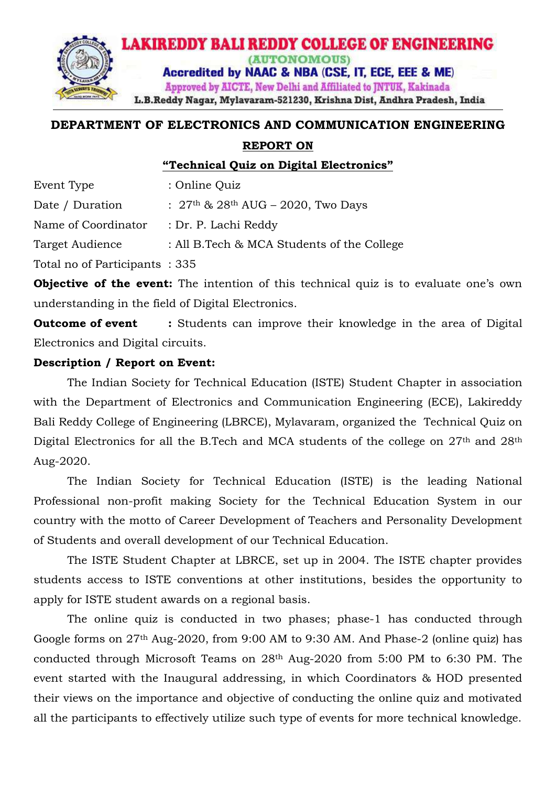

# **DEPARTMENT OF ELECTRONICS AND COMMUNICATION ENGINEERING**

#### **REPORT ON**

**"Technical Quiz on Digital Electronics"** 

| Event Type                    | : Online Quiz                               |
|-------------------------------|---------------------------------------------|
| Date / Duration               | : $27th$ & $28th$ AUG – 2020, Two Days      |
| Name of Coordinator           | : Dr. P. Lachi Reddy                        |
| Target Audience               | : All B. Tech & MCA Students of the College |
| Total no of Participants: 335 |                                             |
|                               |                                             |

**Objective of the event:** The intention of this technical quiz is to evaluate one's own understanding in the field of Digital Electronics.

**Outcome of event :** Students can improve their knowledge in the area of Digital Electronics and Digital circuits.

### **Description / Report on Event:**

The Indian Society for Technical Education (ISTE) Student Chapter in association with the Department of Electronics and Communication Engineering (ECE), Lakireddy Bali Reddy College of Engineering (LBRCE), Mylavaram, organized the Technical Quiz on Digital Electronics for all the B.Tech and MCA students of the college on 27<sup>th</sup> and 28<sup>th</sup> Aug-2020.

The Indian Society for Technical Education (ISTE) is the leading National Professional non-profit making Society for the Technical Education System in our country with the motto of Career Development of Teachers and Personality Development of Students and overall development of our Technical Education.

The ISTE Student Chapter at LBRCE, set up in 2004. The ISTE chapter provides students access to ISTE conventions at other institutions, besides the opportunity to apply for ISTE student awards on a regional basis.

The online quiz is conducted in two phases; phase-1 has conducted through Google forms on 27th Aug-2020, from 9:00 AM to 9:30 AM. And Phase-2 (online quiz) has conducted through Microsoft Teams on 28th Aug-2020 from 5:00 PM to 6:30 PM. The event started with the Inaugural addressing, in which Coordinators & HOD presented their views on the importance and objective of conducting the online quiz and motivated all the participants to effectively utilize such type of events for more technical knowledge.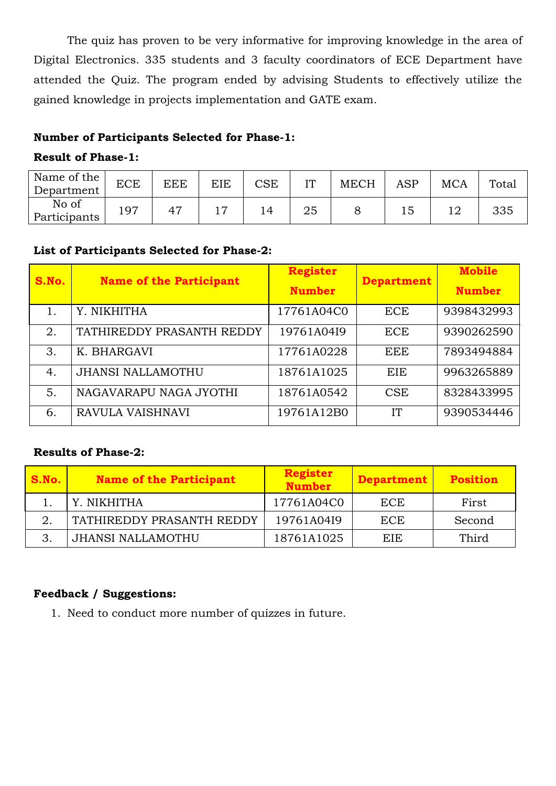The quiz has proven to be very informative for improving knowledge in the area of Digital Electronics. 335 students and 3 faculty coordinators of ECE Department have attended the Quiz. The program ended by advising Students to effectively utilize the gained knowledge in projects implementation and GATE exam.

### **Number of Participants Selected for Phase-1:**

#### **Result of Phase-1:**

| Name of the $ $<br>Department | <b>ECE</b>     | <b>EEE</b>     | EIE | $\mathop{\rm CSE}\nolimits$ | T⁄T | <b>MECH</b> | ASP | <b>MCA</b> | Total |
|-------------------------------|----------------|----------------|-----|-----------------------------|-----|-------------|-----|------------|-------|
| No of<br>Participants         | Q <sub>7</sub> | 4 <sup>7</sup> |     |                             | 25  |             |     |            | 335   |

## **List of Participants Selected for Phase-2:**

| S.No. | <b>Name of the Participant</b> | <b>Register</b> | <b>Department</b> | <b>Mobile</b> |
|-------|--------------------------------|-----------------|-------------------|---------------|
|       |                                | <b>Number</b>   |                   | <b>Number</b> |
|       | Y. NIKHITHA                    | 17761A04C0      | <b>ECE</b>        | 9398432993    |
| 2.    | TATHIREDDY PRASANTH REDDY      | 19761A04I9      | <b>ECE</b>        | 9390262590    |
| 3.    | K. BHARGAVI                    | 17761A0228      | <b>EEE</b>        | 7893494884    |
| 4.    | <b>JHANSI NALLAMOTHU</b>       | 18761A1025      | EIE               | 9963265889    |
| 5.    | NAGAVARAPU NAGA JYOTHI         | 18761A0542      | <b>CSE</b>        | 8328433995    |
| 6.    | RAVULA VAISHNAVI               | 19761A12B0      | <b>IT</b>         | 9390534446    |

## **Results of Phase-2:**

| S.No. | <b>Name of the Participant</b> | <b>Register</b><br><b>Number</b> | <b>Department</b> | <b>Position</b> |
|-------|--------------------------------|----------------------------------|-------------------|-----------------|
|       | Y. NIKHITHA                    | 17761A04C0                       | ECE               | First           |
|       | TATHIREDDY PRASANTH REDDY      | 19761A04I9                       | ECE               | Second          |
|       | JHANSI NALLAMOTHU              | 18761A1025                       | EIE.              | Third           |

## **Feedback / Suggestions:**

1. Need to conduct more number of quizzes in future.